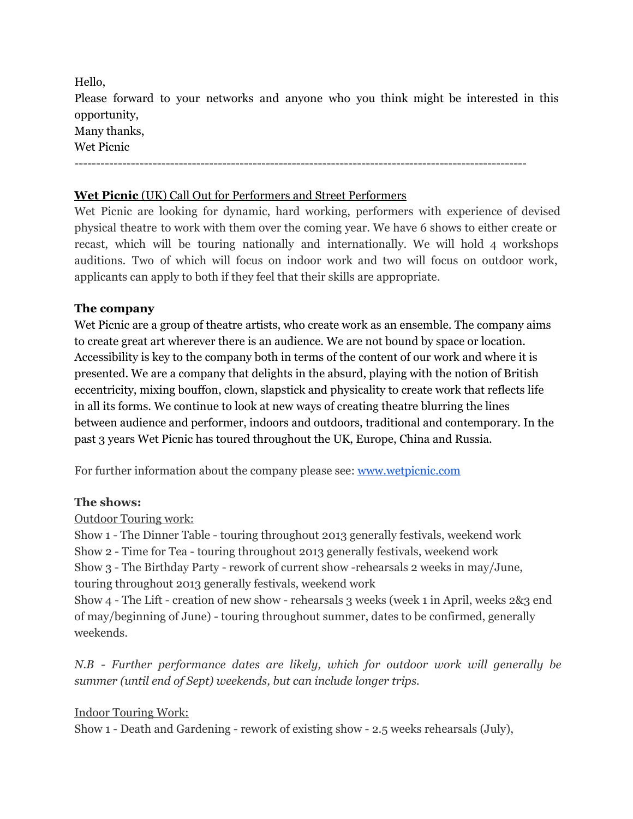Hello, Please forward to your networks and anyone who you think might be interested in this opportunity, Many thanks, Wet Picnic --------------------------------------------------------------------------------------------------------

### **Wet Picnic** (UK) Call Out for Performers and Street Performers

Wet Picnic are looking for dynamic, hard working, performers with experience of devised physical theatre to work with them over the coming year. We have 6 shows to either create or recast, which will be touring nationally and internationally. We will hold 4 workshops auditions. Two of which will focus on indoor work and two will focus on outdoor work, applicants can apply to both if they feel that their skills are appropriate.

### **The company**

Wet Picnic are a group of theatre artists, who create work as an ensemble. The company aims to create great art wherever there is an audience. We are not bound by space or location. Accessibility is key to the company both in terms of the content of our work and where it is presented. We are a company that delights in the absurd, playing with the notion of British eccentricity, mixing bouffon, clown, slapstick and physicality to create work that reflects life in all its forms. We continue to look at new ways of creating theatre blurring the lines between audience and performer, indoors and outdoors, traditional and contemporary. In the past 3 years Wet Picnic has toured throughout the UK, Europe, China and Russia.

For further information about the company please see: [www.wetpicnic.com](http://www.google.com/url?q=http%3A%2F%2Fwww.wetpicnic.com&sa=D&sntz=1&usg=AFQjCNFG-pu3mbDWYxMy9RSa88bRyF5IMw)

### **The shows:**

Outdoor Touring work:

Show 1 - The Dinner Table - touring throughout 2013 generally festivals, weekend work Show 2 - Time for Tea - touring throughout 2013 generally festivals, weekend work Show 3 - The Birthday Party - rework of current show -rehearsals 2 weeks in may/June, touring throughout 2013 generally festivals, weekend work

Show 4 - The Lift - creation of new show - rehearsals 3 weeks (week 1 in April, weeks 2&3 end of may/beginning of June) - touring throughout summer, dates to be confirmed, generally weekends.

*N.B - Further performance dates are likely, which for outdoor work will generally be summer (until end of Sept) weekends, but can include longer trips.*

Indoor Touring Work:

Show 1 - Death and Gardening - rework of existing show - 2.5 weeks rehearsals (July),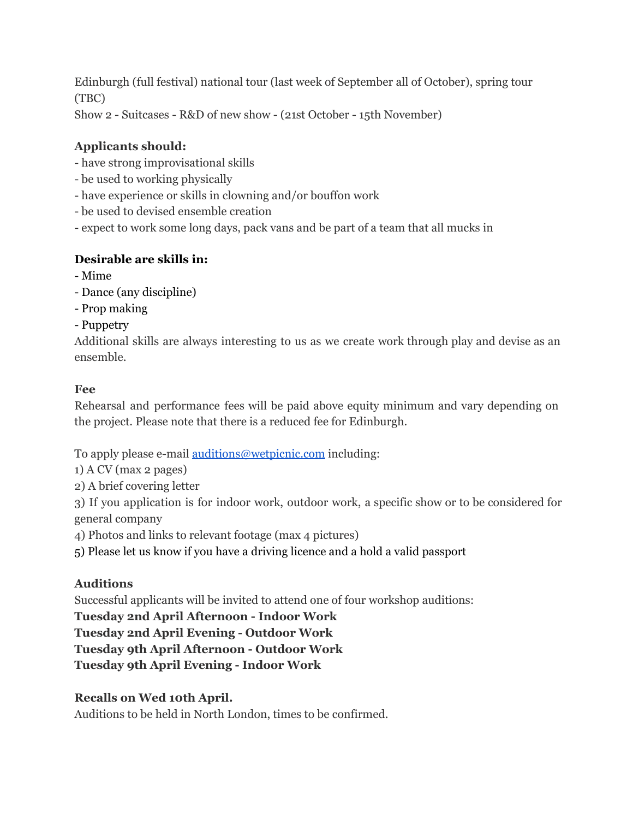Edinburgh (full festival) national tour (last week of September all of October), spring tour (TBC) Show 2 - Suitcases - R&D of new show - (21st October - 15th November)

# **Applicants should:**

- have strong improvisational skills
- be used to working physically
- have experience or skills in clowning and/or bouffon work
- be used to devised ensemble creation
- expect to work some long days, pack vans and be part of a team that all mucks in

## **Desirable are skills in:**

- Mime
- Dance (any discipline)
- Prop making
- Puppetry

Additional skills are always interesting to us as we create work through play and devise as an ensemble.

## **Fee**

Rehearsal and performance fees will be paid above equity minimum and vary depending on the project. Please note that there is a reduced fee for Edinburgh.

To apply please e-mail <u>[auditions@wetpicnic.com](mailto:auditions@wetpicnic.com)</u> including:

1) A CV (max 2 pages)

2) A brief covering letter

3) If you application is for indoor work, outdoor work, a specific show or to be considered for general company

4) Photos and links to relevant footage (max 4 pictures)

5) Please let us know if you have a driving licence and a hold a valid passport

# **Auditions**

Successful applicants will be invited to attend one of four workshop auditions:

## **Tuesday 2nd April Afternoon - Indoor Work**

**Tuesday 2nd April Evening - Outdoor Work**

**Tuesday 9th April Afternoon - Outdoor Work**

**Tuesday 9th April Evening - Indoor Work**

# **Recalls on Wed 10th April.**

Auditions to be held in North London, times to be confirmed.